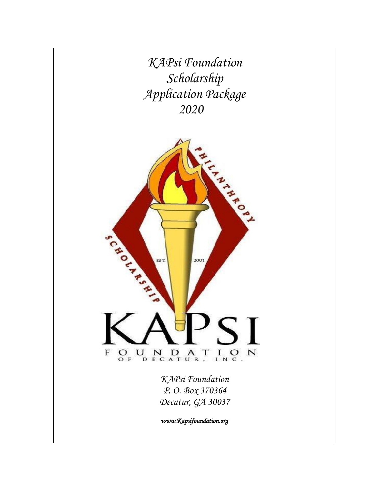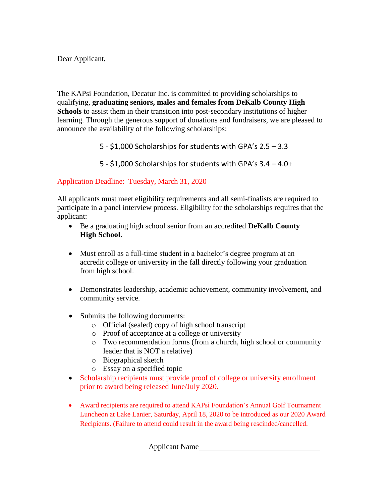Dear Applicant,

The KAPsi Foundation, Decatur Inc. is committed to providing scholarships to qualifying, **graduating seniors, males and females from DeKalb County High Schools** to assist them in their transition into post-secondary institutions of higher learning. Through the generous support of donations and fundraisers, we are pleased to announce the availability of the following scholarships:

5 - \$1,000 Scholarships for students with GPA's 2.5 – 3.3

5 - \$1,000 Scholarships for students with GPA's 3.4 – 4.0+

# Application Deadline: Tuesday, March 31, 2020

All applicants must meet eligibility requirements and all semi-finalists are required to participate in a panel interview process. Eligibility for the scholarships requires that the applicant:

- Be a graduating high school senior from an accredited **DeKalb County High School.**
- Must enroll as a full-time student in a bachelor's degree program at an accredit college or university in the fall directly following your graduation from high school.
- Demonstrates leadership, academic achievement, community involvement, and community service.
- Submits the following documents:
	- o Official (sealed) copy of high school transcript
	- o Proof of acceptance at a college or university
	- o Two recommendation forms (from a church, high school or community leader that is NOT a relative)
	- o Biographical sketch
	- o Essay on a specified topic
- Scholarship recipients must provide proof of college or university enrollment prior to award being released June/July 2020.
- Award recipients are required to attend KAPsi Foundation's Annual Golf Tournament Luncheon at Lake Lanier, Saturday, April 18, 2020 to be introduced as our 2020 Award Recipients. (Failure to attend could result in the award being rescinded/cancelled.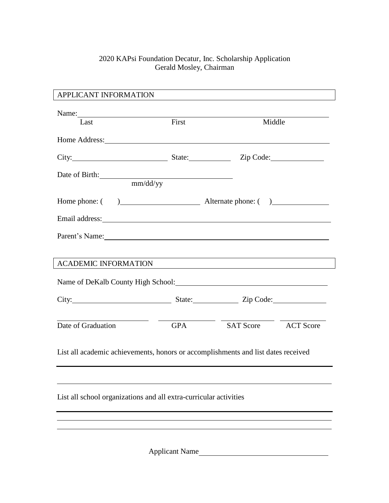### 2020 KAPsi Foundation Decatur, Inc. Scholarship Application Gerald Mosley, Chairman

| APPLICANT INFORMATION                                                             |                            |                                                                                                                                                                                                                                |                                                                                                                                                                                                                               |  |  |  |  |
|-----------------------------------------------------------------------------------|----------------------------|--------------------------------------------------------------------------------------------------------------------------------------------------------------------------------------------------------------------------------|-------------------------------------------------------------------------------------------------------------------------------------------------------------------------------------------------------------------------------|--|--|--|--|
|                                                                                   | Name: $\frac{1}{\sqrt{2}}$ |                                                                                                                                                                                                                                |                                                                                                                                                                                                                               |  |  |  |  |
| Last                                                                              | First                      | Middle                                                                                                                                                                                                                         |                                                                                                                                                                                                                               |  |  |  |  |
|                                                                                   |                            | Home Address: No. 1996. The Second Second Second Second Second Second Second Second Second Second Second Second Second Second Second Second Second Second Second Second Second Second Second Second Second Second Second Secon |                                                                                                                                                                                                                               |  |  |  |  |
|                                                                                   |                            |                                                                                                                                                                                                                                | City: City: City: City: City: City: City: City: City: City: City: City: City: City: City: City: City: City: City: City: City: City: City: City: City: City: City: City: City: City: City: City: City: City: City: City: City: |  |  |  |  |
|                                                                                   | Date of Birth:             |                                                                                                                                                                                                                                |                                                                                                                                                                                                                               |  |  |  |  |
|                                                                                   | mm/dd/yy                   |                                                                                                                                                                                                                                |                                                                                                                                                                                                                               |  |  |  |  |
|                                                                                   |                            | Home phone: ( ) Alternate phone: ( )                                                                                                                                                                                           |                                                                                                                                                                                                                               |  |  |  |  |
|                                                                                   |                            |                                                                                                                                                                                                                                |                                                                                                                                                                                                                               |  |  |  |  |
|                                                                                   |                            | Parent's Name:                                                                                                                                                                                                                 |                                                                                                                                                                                                                               |  |  |  |  |
|                                                                                   |                            |                                                                                                                                                                                                                                |                                                                                                                                                                                                                               |  |  |  |  |
| <b>ACADEMIC INFORMATION</b>                                                       |                            | and the state of the state of the state of the state of the state of the state of the state of the state of the                                                                                                                |                                                                                                                                                                                                                               |  |  |  |  |
|                                                                                   |                            |                                                                                                                                                                                                                                |                                                                                                                                                                                                                               |  |  |  |  |
|                                                                                   |                            |                                                                                                                                                                                                                                |                                                                                                                                                                                                                               |  |  |  |  |
| Date of Graduation                                                                | <b>GPA</b>                 | SAT Score ACT Score                                                                                                                                                                                                            |                                                                                                                                                                                                                               |  |  |  |  |
| List all academic achievements, honors or accomplishments and list dates received |                            |                                                                                                                                                                                                                                |                                                                                                                                                                                                                               |  |  |  |  |
|                                                                                   |                            |                                                                                                                                                                                                                                |                                                                                                                                                                                                                               |  |  |  |  |
| List all school organizations and all extra-curricular activities                 |                            |                                                                                                                                                                                                                                |                                                                                                                                                                                                                               |  |  |  |  |
|                                                                                   |                            |                                                                                                                                                                                                                                |                                                                                                                                                                                                                               |  |  |  |  |
|                                                                                   |                            |                                                                                                                                                                                                                                |                                                                                                                                                                                                                               |  |  |  |  |
| <b>Applicant Name</b>                                                             |                            |                                                                                                                                                                                                                                |                                                                                                                                                                                                                               |  |  |  |  |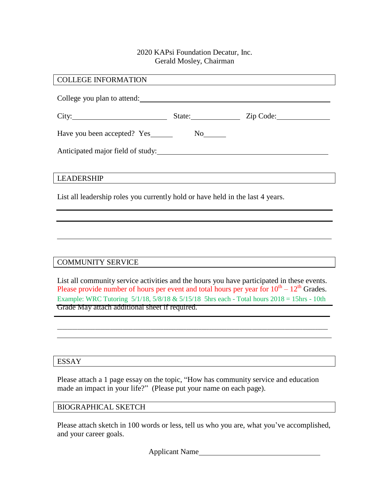# COLLEGE INFORMATION College you plan to attend: City: City: State: State: Zip Code: Have you been accepted? Yes No Anticipated major field of study: LEADERSHIP List all leadership roles you currently hold or have held in the last 4 years.

# COMMUNITY SERVICE

List all community service activities and the hours you have participated in these events. Please provide number of hours per event and total hours per year for  $10^{th} - 12^{th}$  Grades. Example: WRC Tutoring 5/1/18, 5/8/18 & 5/15/18 5hrs each - Total hours 2018 = 15hrs - 10th Grade May attach additional sheet if required.

\_\_\_\_\_\_\_\_\_\_\_\_\_\_\_\_\_\_\_\_\_\_\_\_\_\_\_\_\_\_\_\_\_\_\_\_\_\_\_\_\_\_\_\_\_\_\_\_\_\_\_\_\_\_\_\_\_\_\_\_\_\_\_\_\_\_\_\_\_\_\_\_\_\_\_\_\_\_\_\_\_\_\_\_\_\_\_\_\_\_\_\_\_\_\_\_\_\_\_\_\_\_\_\_\_\_\_

# ESSAY

Please attach a 1 page essay on the topic, "How has community service and education made an impact in your life?" (Please put your name on each page).

#### BIOGRAPHICAL SKETCH

Please attach sketch in 100 words or less, tell us who you are, what you've accomplished, and your career goals.

Applicant Name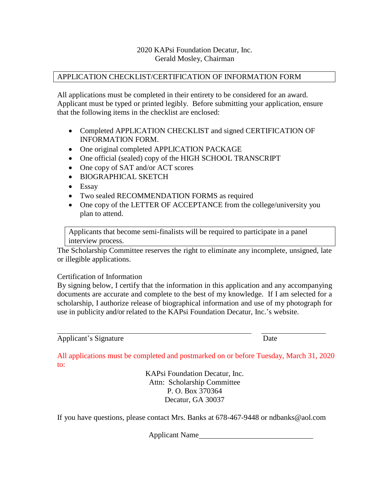#### APPLICATION CHECKLIST/CERTIFICATION OF INFORMATION FORM

All applications must be completed in their entirety to be considered for an award. Applicant must be typed or printed legibly. Before submitting your application, ensure that the following items in the checklist are enclosed:

- Completed APPLICATION CHECKLIST and signed CERTIFICATION OF INFORMATION FORM.
- One original completed APPLICATION PACKAGE
- One official (sealed) copy of the HIGH SCHOOL TRANSCRIPT
- One copy of SAT and/or ACT scores
- BIOGRAPHICAL SKETCH
- Essay
- Two sealed RECOMMENDATION FORMS as required
- One copy of the LETTER OF ACCEPTANCE from the college/university you plan to attend.

Applicants that become semi-finalists will be required to participate in a panel interview process.

The Scholarship Committee reserves the right to eliminate any incomplete, unsigned, late or illegible applications.

# Certification of Information

By signing below, I certify that the information in this application and any accompanying documents are accurate and complete to the best of my knowledge. If I am selected for a scholarship, I authorize release of biographical information and use of my photograph for use in publicity and/or related to the KAPsi Foundation Decatur, Inc.'s website.

Applicant's Signature Date

All applications must be completed and postmarked on or before Tuesday, March 31, 2020 to:

> KAPsi Foundation Decatur, Inc. Attn: Scholarship Committee P. O. Box 370364 Decatur, GA 30037

If you have questions, please contact Mrs. Banks at 678-467-9448 or ndbanks@aol.com

Applicant Name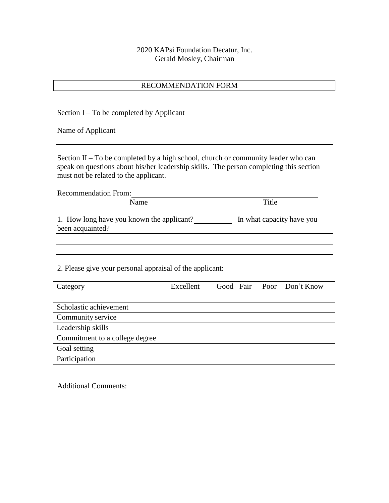#### RECOMMENDATION FORM

Section  $I$  – To be completed by Applicant Name of Applicant Name of Applicant Section  $II$  – To be completed by a high school, church or community leader who can speak on questions about his/her leadership skills. The person completing this section must not be related to the applicant. Recommendation From: Name Title 1. How long have you known the applicant? In what capacity have you been acquainted? 2. Please give your personal appraisal of the applicant: Category Excellent Good Fair Poor Don't Know Scholastic achievement Community service Leadership skills

Commitment to a college degree Goal setting Participation

Additional Comments: